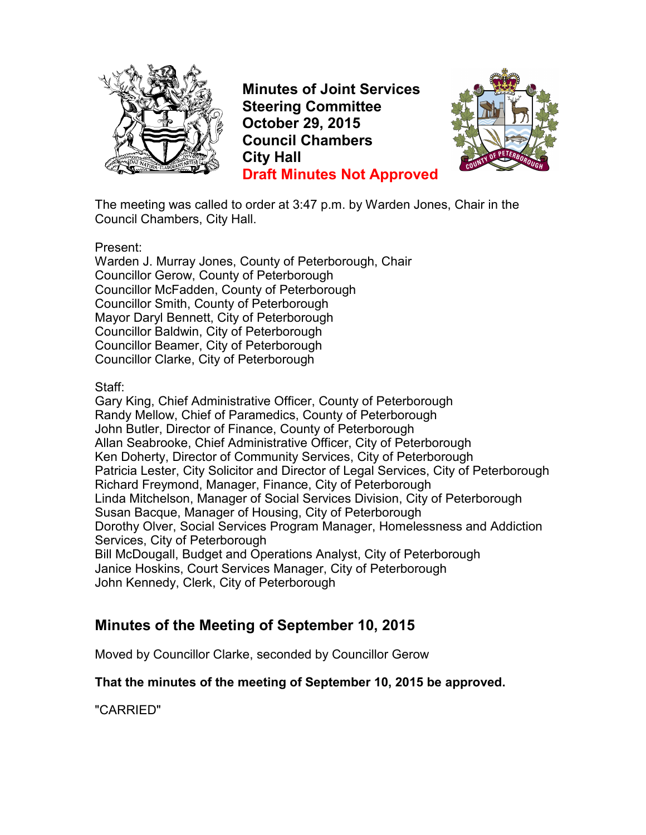

**Minutes of Joint Services Steering Committee October 29, 2015 Council Chambers City Hall Draft Minutes Not Approved**



The meeting was called to order at 3:47 p.m. by Warden Jones, Chair in the Council Chambers, City Hall.

Present:

Warden J. Murray Jones, County of Peterborough, Chair Councillor Gerow, County of Peterborough Councillor McFadden, County of Peterborough Councillor Smith, County of Peterborough Mayor Daryl Bennett, City of Peterborough Councillor Baldwin, City of Peterborough Councillor Beamer, City of Peterborough Councillor Clarke, City of Peterborough

Staff:

Gary King, Chief Administrative Officer, County of Peterborough Randy Mellow, Chief of Paramedics, County of Peterborough John Butler, Director of Finance, County of Peterborough Allan Seabrooke, Chief Administrative Officer, City of Peterborough Ken Doherty, Director of Community Services, City of Peterborough Patricia Lester, City Solicitor and Director of Legal Services, City of Peterborough Richard Freymond, Manager, Finance, City of Peterborough Linda Mitchelson, Manager of Social Services Division, City of Peterborough Susan Bacque, Manager of Housing, City of Peterborough Dorothy Olver, Social Services Program Manager, Homelessness and Addiction Services, City of Peterborough Bill McDougall, Budget and Operations Analyst, City of Peterborough Janice Hoskins, Court Services Manager, City of Peterborough John Kennedy, Clerk, City of Peterborough

## **Minutes of the Meeting of September 10, 2015**

Moved by Councillor Clarke, seconded by Councillor Gerow

#### **That the minutes of the meeting of September 10, 2015 be approved.**

"CARRIED"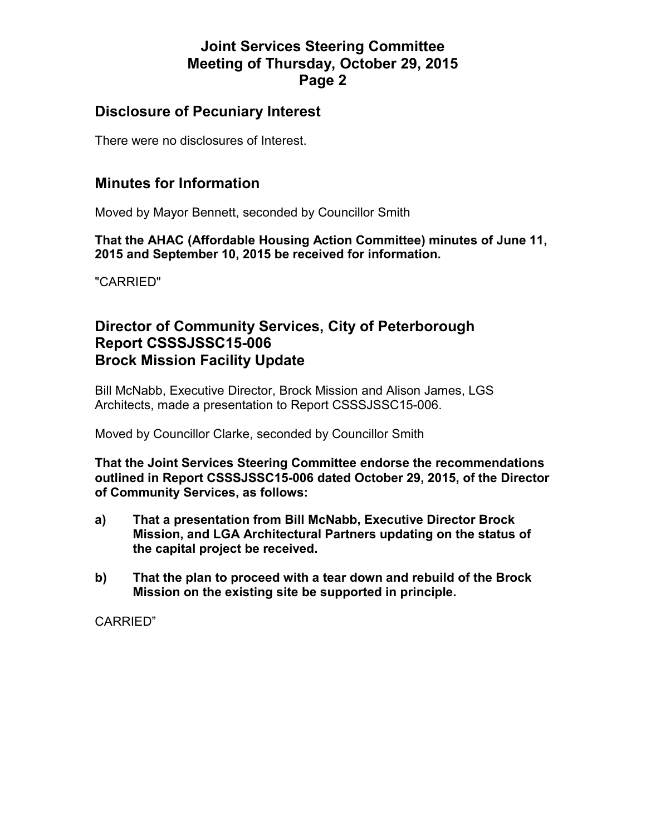### **Disclosure of Pecuniary Interest**

There were no disclosures of Interest.

### **Minutes for Information**

Moved by Mayor Bennett, seconded by Councillor Smith

**That the AHAC (Affordable Housing Action Committee) minutes of June 11, 2015 and September 10, 2015 be received for information.** 

"CARRIED"

## **Director of Community Services, City of Peterborough Report CSSSJSSC15-006 Brock Mission Facility Update**

Bill McNabb, Executive Director, Brock Mission and Alison James, LGS Architects, made a presentation to Report CSSSJSSC15-006.

Moved by Councillor Clarke, seconded by Councillor Smith

**That the Joint Services Steering Committee endorse the recommendations outlined in Report CSSSJSSC15-006 dated October 29, 2015, of the Director of Community Services, as follows:** 

- **a) That a presentation from Bill McNabb, Executive Director Brock Mission, and LGA Architectural Partners updating on the status of the capital project be received.**
- **b) That the plan to proceed with a tear down and rebuild of the Brock Mission on the existing site be supported in principle.**

CARRIED"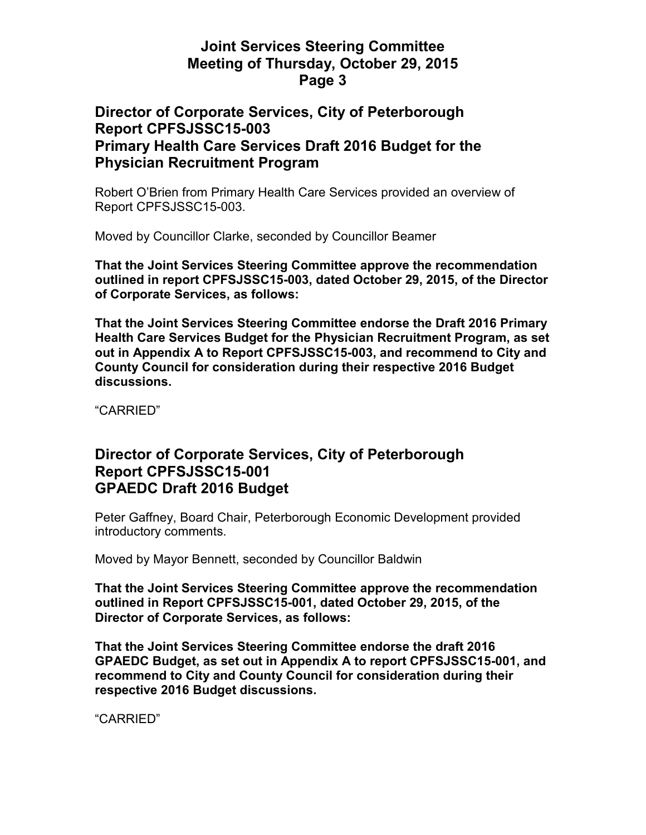### **Director of Corporate Services, City of Peterborough Report CPFSJSSC15-003 Primary Health Care Services Draft 2016 Budget for the Physician Recruitment Program**

Robert O'Brien from Primary Health Care Services provided an overview of Report CPFSJSSC15-003.

Moved by Councillor Clarke, seconded by Councillor Beamer

**That the Joint Services Steering Committee approve the recommendation outlined in report CPFSJSSC15-003, dated October 29, 2015, of the Director of Corporate Services, as follows:** 

**That the Joint Services Steering Committee endorse the Draft 2016 Primary Health Care Services Budget for the Physician Recruitment Program, as set out in Appendix A to Report CPFSJSSC15-003, and recommend to City and County Council for consideration during their respective 2016 Budget discussions.** 

"CARRIED"

#### **Director of Corporate Services, City of Peterborough Report CPFSJSSC15-001 GPAEDC Draft 2016 Budget**

Peter Gaffney, Board Chair, Peterborough Economic Development provided introductory comments.

Moved by Mayor Bennett, seconded by Councillor Baldwin

**That the Joint Services Steering Committee approve the recommendation outlined in Report CPFSJSSC15-001, dated October 29, 2015, of the Director of Corporate Services, as follows:** 

**That the Joint Services Steering Committee endorse the draft 2016 GPAEDC Budget, as set out in Appendix A to report CPFSJSSC15-001, and recommend to City and County Council for consideration during their respective 2016 Budget discussions.** 

"CARRIED"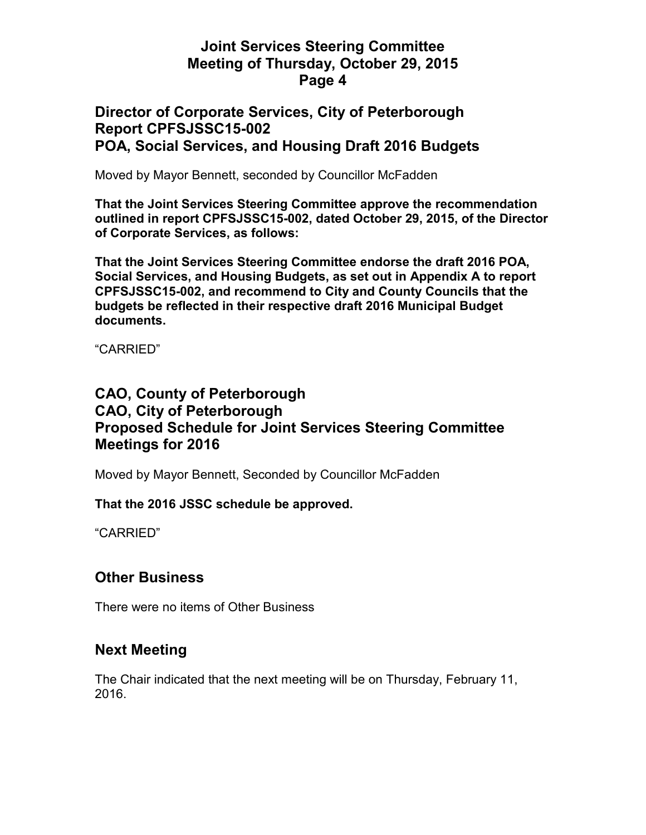### **Director of Corporate Services, City of Peterborough Report CPFSJSSC15-002 POA, Social Services, and Housing Draft 2016 Budgets**

Moved by Mayor Bennett, seconded by Councillor McFadden

**That the Joint Services Steering Committee approve the recommendation outlined in report CPFSJSSC15-002, dated October 29, 2015, of the Director of Corporate Services, as follows:** 

**That the Joint Services Steering Committee endorse the draft 2016 POA, Social Services, and Housing Budgets, as set out in Appendix A to report CPFSJSSC15-002, and recommend to City and County Councils that the budgets be reflected in their respective draft 2016 Municipal Budget documents.** 

"CARRIED"

# **CAO, County of Peterborough CAO, City of Peterborough Proposed Schedule for Joint Services Steering Committee Meetings for 2016**

Moved by Mayor Bennett, Seconded by Councillor McFadden

**That the 2016 JSSC schedule be approved.** 

"CARRIED"

## **Other Business**

There were no items of Other Business

#### **Next Meeting**

The Chair indicated that the next meeting will be on Thursday, February 11, 2016.